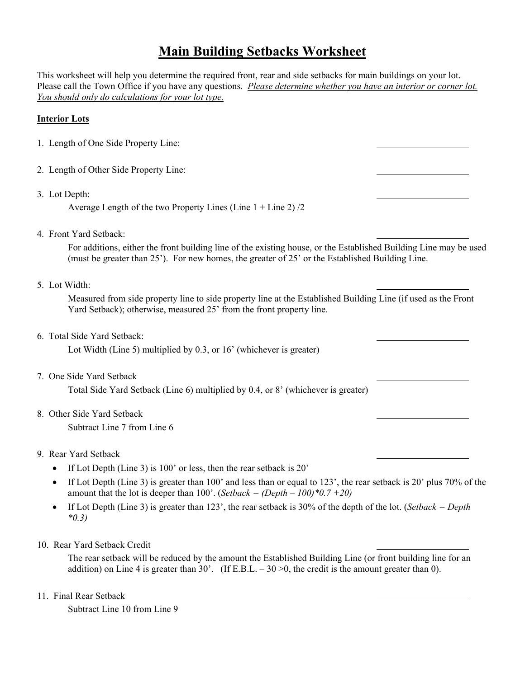# **Main Building Setbacks Worksheet**

This worksheet will help you determine the required front, rear and side setbacks for main buildings on your lot. Please call the Town Office if you have any questions. *Please determine whether you have an interior or corner lot. You should only do calculations for your lot type.* 

#### **Interior Lots**

| 1. Length of One Side Property Line: |
|--------------------------------------|
|--------------------------------------|

- 2. Length of Other Side Property Line:
- 3. Lot Depth:

Average Length of the two Property Lines (Line  $1 +$  Line 2)  $/2$ 

4. Front Yard Setback:

For additions, either the front building line of the existing house, or the Established Building Line may be used (must be greater than 25'). For new homes, the greater of 25' or the Established Building Line.

#### 5. Lot Width:

Measured from side property line to side property line at the Established Building Line (if used as the Front Yard Setback); otherwise, measured 25' from the front property line.

6. Total Side Yard Setback:

Lot Width (Line 5) multiplied by 0.3, or 16' (whichever is greater)

7. One Side Yard Setback

Total Side Yard Setback (Line 6) multiplied by 0.4, or 8' (whichever is greater)

### 8. Other Side Yard Setback

Subtract Line 7 from Line 6

### 9. Rear Yard Setback

- If Lot Depth (Line 3) is  $100'$  or less, then the rear setback is  $20'$
- If Lot Depth (Line 3) is greater than  $100'$  and less than or equal to  $123'$ , the rear setback is  $20'$  plus  $70\%$  of the amount that the lot is deeper than 100'. (*Setback = (Depth – 100)\*0.7 +20)*
- If Lot Depth (Line 3) is greater than 123', the rear setback is 30% of the depth of the lot. (*Setback = Depth \*0.3)*
- 10. Rear Yard Setback Credit

The rear setback will be reduced by the amount the Established Building Line (or front building line for an addition) on Line 4 is greater than 30'. (If E.B.L.  $-30 > 0$ , the credit is the amount greater than 0).

11. Final Rear Setback

Subtract Line 10 from Line 9